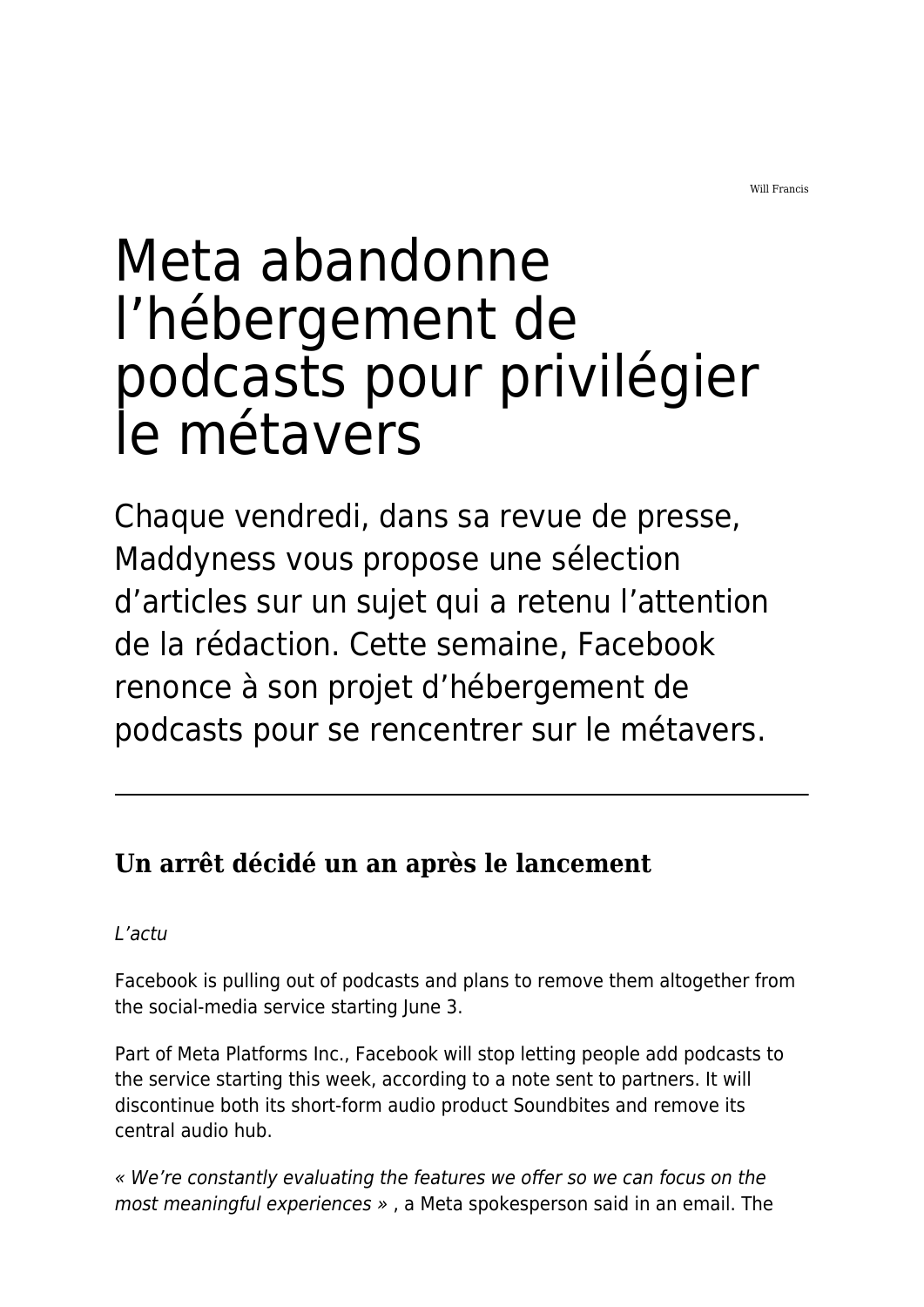Will Francis

# Meta abandonne l'hébergement de podcasts pour privilégier le métavers

Chaque vendredi, dans sa revue de presse, Maddyness vous propose une sélection d'articles sur un sujet qui a retenu l'attention de la rédaction. Cette semaine, Facebook renonce à son projet d'hébergement de podcasts pour se rencentrer sur le métavers.

# **Un arrêt décidé un an après le lancement**

L'actu

Facebook is pulling out of podcasts and plans to remove them altogether from the social-media service starting June 3.

Part of Meta Platforms Inc., Facebook will stop letting people add podcasts to the service starting this week, according to a note sent to partners. It will discontinue both its short-form audio product Soundbites and remove its central audio hub.

« We're constantly evaluating the features we offer so we can focus on the most meaningful experiences » , a Meta spokesperson said in an email. The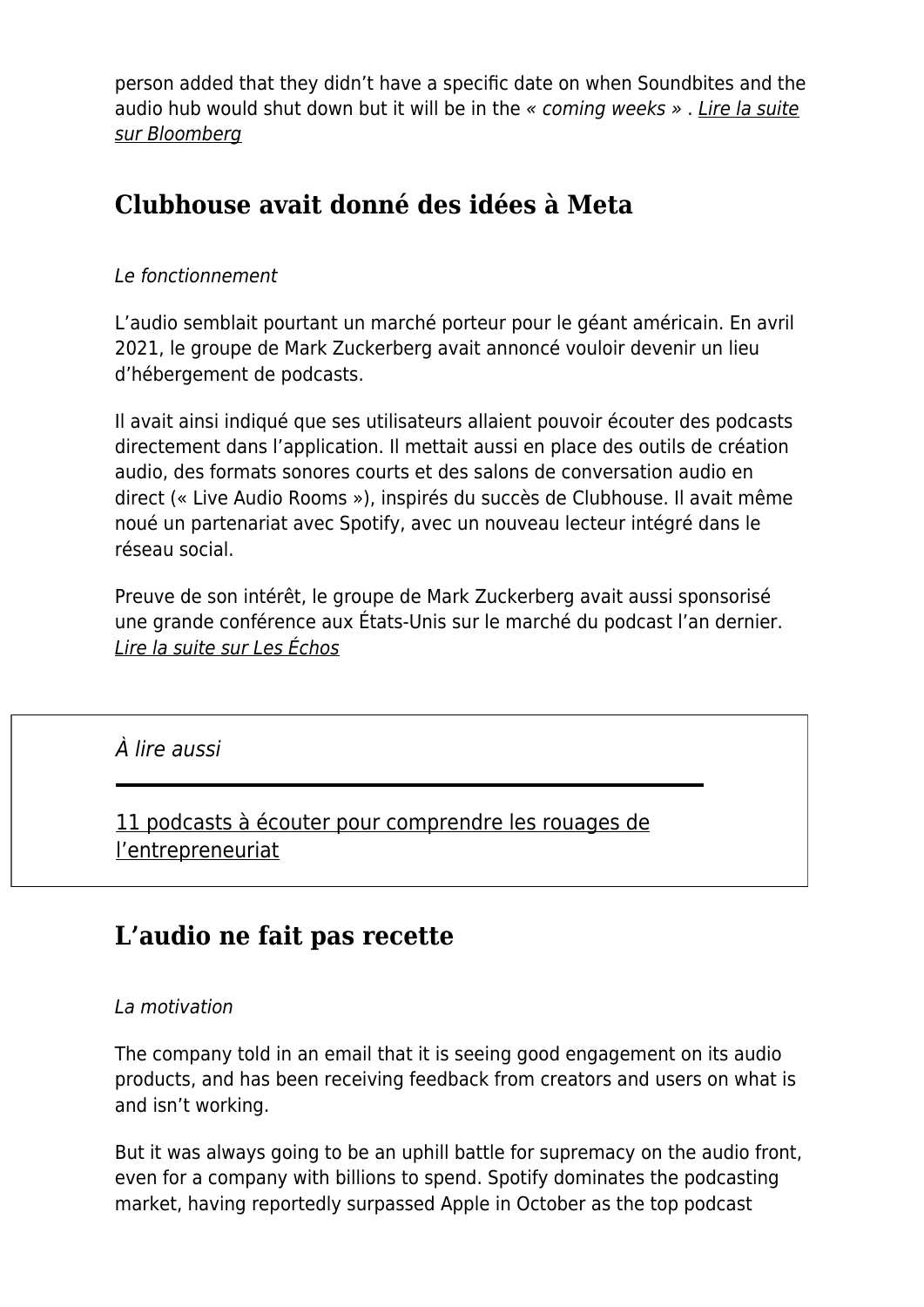person added that they didn't have a specific date on when Soundbites and the audio hub would shut down but it will be in the « coming weeks ». [Lire la suite](https://www.bloomberg.com/news/articles/2022-05-02/facebook-is-planning-to-leave-the-podcast-business-after-a-year) [sur Bloomberg](https://www.bloomberg.com/news/articles/2022-05-02/facebook-is-planning-to-leave-the-podcast-business-after-a-year)

## **Clubhouse avait donné des idées à Meta**

#### Le fonctionnement

L'audio semblait pourtant un marché porteur pour le géant américain. En avril 2021, le groupe de Mark Zuckerberg avait annoncé vouloir devenir un lieu d'hébergement de podcasts.

Il avait ainsi indiqué que ses utilisateurs allaient pouvoir écouter des podcasts directement dans l'application. Il mettait aussi en place des outils de création audio, des formats sonores courts et des salons de conversation audio en direct (« Live Audio Rooms »), inspirés du succès de Clubhouse. Il avait même noué un partenariat avec Spotify, avec un nouveau lecteur intégré dans le réseau social.

Preuve de son intérêt, le groupe de Mark Zuckerberg avait aussi sponsorisé une grande conférence aux États-Unis sur le marché du podcast l'an dernier. [Lire la suite sur Les Échos](https://www.lesechos.fr/tech-medias/hightech/facebook-sort-du-marche-du-podcast-1404509)

## À lire aussi

[11 podcasts à écouter pour comprendre les rouages de](https://www.maddyness.com/2022/02/18/liste-podcasts-rouages-entrepreneuriat/) [l'entrepreneuriat](https://www.maddyness.com/2022/02/18/liste-podcasts-rouages-entrepreneuriat/)

## **L'audio ne fait pas recette**

#### La motivation

The company told in an email that it is seeing good engagement on its audio products, and has been receiving feedback from creators and users on what is and isn't working.

But it was always going to be an uphill battle for supremacy on the audio front, even for a company with billions to spend. Spotify dominates the podcasting market, having reportedly surpassed Apple in October as the top podcast